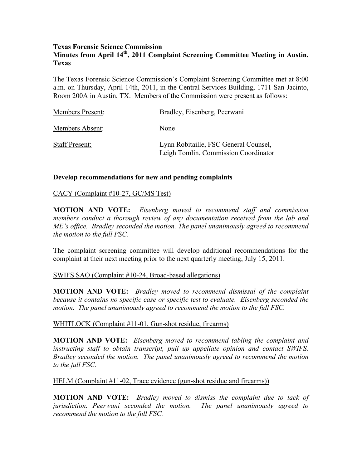## **Texas Forensic Science Commission Minutes from April 14th, 2011 Complaint Screening Committee Meeting in Austin, Texas**

The Texas Forensic Science Commission's Complaint Screening Committee met at 8:00 a.m. on Thursday, April 14th, 2011, in the Central Services Building, 1711 San Jacinto, Room 200A in Austin, TX. Members of the Commission were present as follows:

| <b>Members Present:</b> | Bradley, Eisenberg, Peerwani                                                  |
|-------------------------|-------------------------------------------------------------------------------|
| Members Absent:         | None                                                                          |
| <b>Staff Present:</b>   | Lynn Robitaille, FSC General Counsel,<br>Leigh Tomlin, Commission Coordinator |

# **Develop recommendations for new and pending complaints**

## CACY (Complaint #10-27, GC/MS Test)

**MOTION AND VOTE:** *Eisenberg moved to recommend staff and commission members conduct a thorough review of any documentation received from the lab and ME's office. Bradley seconded the motion. The panel unanimously agreed to recommend the motion to the full FSC.*

The complaint screening committee will develop additional recommendations for the complaint at their next meeting prior to the next quarterly meeting, July 15, 2011.

# SWIFS SAO (Complaint #10-24, Broad-based allegations)

**MOTION AND VOTE:** *Bradley moved to recommend dismissal of the complaint because it contains no specific case or specific test to evaluate. Eisenberg seconded the motion. The panel unanimously agreed to recommend the motion to the full FSC.* 

## WHITLOCK (Complaint #11-01, Gun-shot residue, firearms)

**MOTION AND VOTE:** *Eisenberg moved to recommend tabling the complaint and instructing staff to obtain transcript, pull up appellate opinion and contact SWIFS. Bradley seconded the motion. The panel unanimously agreed to recommend the motion to the full FSC.* 

## HELM (Complaint #11-02, Trace evidence (gun-shot residue and firearms))

**MOTION AND VOTE:** *Bradley moved to dismiss the complaint due to lack of jurisdiction. Peerwani seconded the motion. The panel unanimously agreed to recommend the motion to the full FSC.*